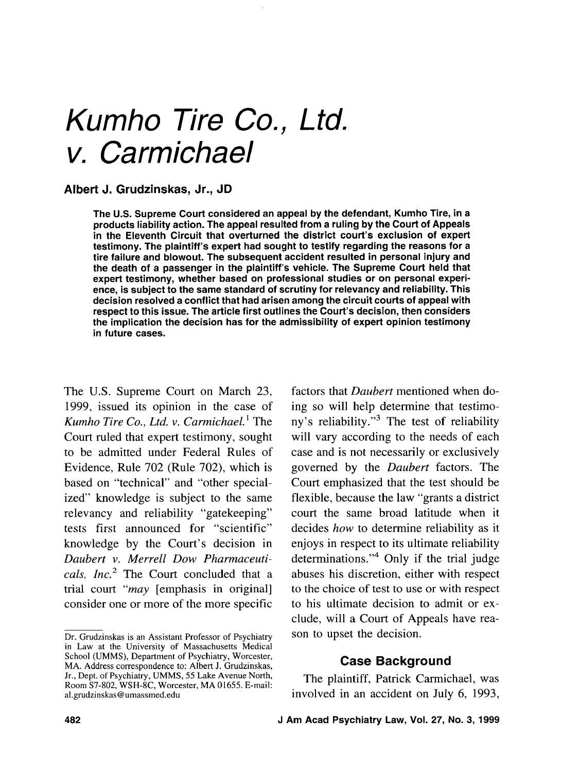# Kumho Tire Co., Ltd. v. Carmichael

#### **Albert J. Grudzinskas, Jr., JD**

The U.S. Supreme Court considered an appeal by the defendant, Kumho Tire, in a products liability action. The appeal resulted from a ruling by the Court of Appeals in the Eleventh Circuit that overturned the district court's exclusion of expert testimony. The plaintiff's expert had sought to testify regarding the reasons for a tire failure and blowout. The subsequent accident resulted in personal injury and the death of a passenger in the plaintiff's vehicle. The Supreme Court held that expert testimony, whether based on professional studies or on personal experience, is subject to the same standard of scrutiny for relevancy and reliability. This decision resolved a conflict that had arisen among the circuit courts of appeal with respect to this issue. The article first outlines the Court's decision, then considers the implication the decision has for the admissibility of expert opinion testimony in future cases.

The U.S. Supreme Court on March 23, 1999, issued its opinion in the case of *Kumho Tire Co., Ltd.* v. *Carmichael.'* The Court ruled that expert testimony, sought to be admitted under Federal Rules of Evidence, Rule 702 (Rule 702), which is based on "technical" and "other specialized" knowledge is subject to the same relevancy and reliability "gatekeeping" tests first announced for "scientific" knowledge by the Court's decision in *Daubert* v. *Merrell Dow Pharmaceuticals, Inc.*<sup>2</sup> The Court concluded that a trial court *"may* [emphasis in original] consider one or more of the more specific

factors that *Daubert* mentioned when doing so will help determine that testimony's reliability."3 The test of reliability will vary according to the needs of each case and is not necessarily or exclusively governed by the *Daubert* factors. The Court emphasized that the test should be flexible, because the law "grants a district court the same broad latitude when it decides *how* to determine reliability as it enjoys in respect to its ultimate reliability determinations."<sup>4</sup> Only if the trial judge abuses his discretion, either with respect to the choice of test to use or with respect to his ultimate decision to admit or exclude, will a Court of Appeals have reason to upset the decision.

### **Case Background**

The plaintiff, Patrick Carmichael, was involved in an accident on July 6, 1993,

Dr. Grudzinskas is an Assistant Professor of Psychiatry in Law at the University of Massachusetts Medical School (UMMS), Department of Psychiatry, Worcester, MA. Address correspondence to: Albert J. Grudzinskas, Jr., Dept. of Psychiatry, UMMS, *55* Lake Avenue North, Room S7-802, WSH-8C, Worcester, MA 01655. E-mail: al.grudzinskas@umassmed.edu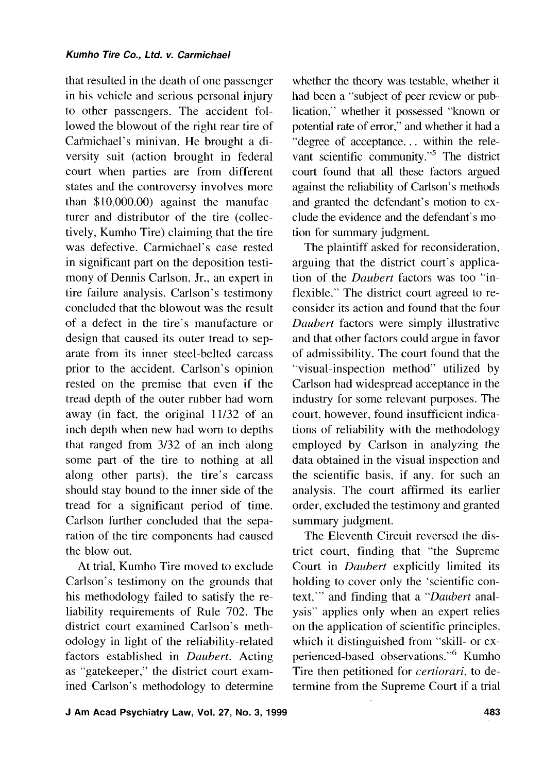#### **Kumho Tire Co.,** *Ltd.* **v. Carmichael**

that resulted in the death of one passenger in his vehicle and serious personal injury to other passengers. The accident followed the blowout of the right rear tire of Cafmichael's minivan. He brought a diversity suit (action brought in federal court when parties are from different states and the controversy involves more than \$10,000.00) against the manufacturer and distributor of the tire (collectively, Kumho Tire) claiming that the tire was defective. Carmichael's case rested in significant part on the deposition testimony of Dennis Carlson, Jr., an expert in tire failure analysis. Carlson's testimony concluded that the blowout was the result of a defect in the tire's manufacture or design that caused its outer tread to separate from its inner steel-belted carcass prior to the accident. Carlson's opinion rested on the premise that even if the tread depth of the outer rubber had worn away (in fact, the original 11/32 of an inch depth when new had worn to depths that ranged from 3/32 of an inch along some part of the tire to nothing at all along other parts), the tire's carcass should stay bound to the inner side of the tread for a significant period of time. Carlson further concluded that the separation of the tire components had caused the blow out.

At trial, Kumho Tire moved to exclude Carlson's testimony on the grounds that his methodology failed to satisfy the reliability requirements of Rule 702. The district court examined Carlson's methodology in light of the reliability-related factors established in *Daubert.* Acting as "gatekeeper," the district court examined Carlson's methodology to determine

whether the theory was testable, whether it had been a "subject of peer review or publication," whether it possessed "known or potential rate of error," and whether it had a "degree of acceptance. . . within the relevant scientific community."<sup>5</sup> The district court found that all these factors argued against the reliability of Carlson's methods and granted the defendant's motion to exclude the evidence and the defendant's motion for summary judgment.

The plaintiff asked for reconsideration, arguing that the district court's application of the *Daubert* factors was too "inflexible." The district court agreed to reconsider its action and found that the four *Daubert* factors were simply illustrative and that other factors could argue in favor of admissibility. The court found that the "visual-inspection method" utilized by Carlson had widespread acceptance in the industry for some relevant purposes. The court. however, found insufficient indications of reliability with the methodology employed by Carlson in analyzing the data obtained in the visual inspection and the scientific basis, if any, for such an analysis. The court affirmed its earlier order, excluded the testimony and granted summary judgment.

The Eleventh Circuit reversed the district court, finding that "the Supreme Court in *Daubert* explicitly limited its holding to cover only the 'scientific context,'" and finding that a *"Daubert* analysis" applies only when an expert relies on the application of scientific principles. which it distinguished from "skill- or experienced-based observations."<sup>6</sup> Kumho Tire then petitioned for *certiorari,* to determine from the Supreme Court if a trial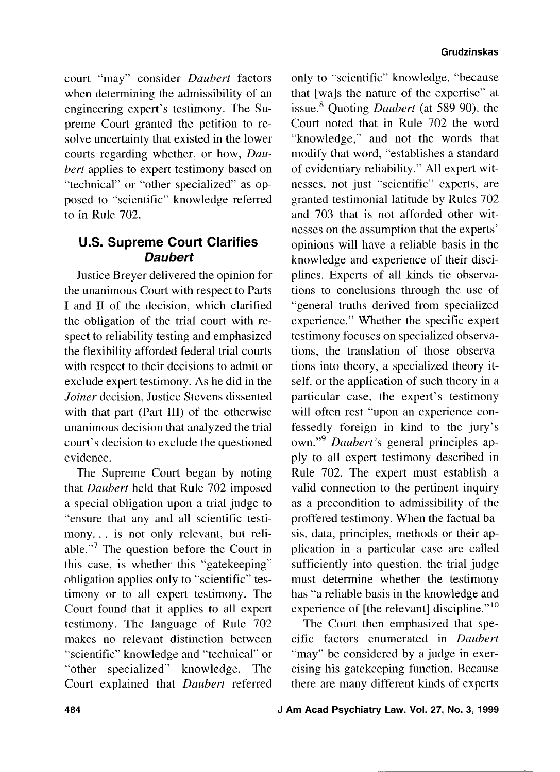court "may" consider Daubert factors when determining the admissibility of an engineering expert's testimony. The Supreme Court granted the petition to resolve uncertainty that existed in the lower courts regarding whether, or how, Daubert applies to expert testimony based on "technical" or "other specialized" as opposed to "scientific" knowledge referred to in Rule 702.

# **U.S. Supreme Court Clarifies Daubert**

Justice Breyer delivered the opinion for the unanimous Court with respect to Parts I and I1 of the decision, which clarified the obligation of the trial court with respect to reliability testing and emphasized the flexibility afforded federal trial courts with respect to their decisions to admit or exclude expert testimony. As he did in the Joiner decision, Justice Stevens dissented with that part (Part **111)** of the otherwise unanimous decision that analyzed the trial court's decision to exclude the questioned evidence.

The Supreme Court began by noting that Daubert held that Rule 702 imposed a special obligation upon a trial judge to "ensure that any and all scientific testimony. . . is not only relevant, but reliable."7 The question before the Court in this case, is whether this "gatekeeping" obligation applies only to "scientific" testimony or to all expert testimony. The Court found that it applies to all expert testimony. The language of Rule 702 makes no relevant distinction between "scientific" knowledge and "technical" or "other specialized" knowledge. The Court explained that Daubert referred

only to "scientific" knowledge, "because that [wals the nature of the expertise" at issue.<sup>8</sup> Quoting *Daubert* (at 589-90), the Court noted that in Rule 702 the word "knowledge," and not the words that modify that word, "establishes a standard of evidentiary reliability." All expert witnesses, not just "scientific" experts, are granted testimonial latitude by Rules 702 and 703 that is not afforded other witnesses on the assumption that the experts' opinions will have a reliable basis in the knowledge and experience of their disciplines. Experts of all kinds tie observations to conclusions through the use of "general truths derived from specialized experience." Whether the specific expert testimony focuses on specialized observations, the translation of those observations into theory, a specialized theory itself, or the application of such theory in a particular case, the expert's testimony will often rest "upon an experience confessedly foreign in kind to the jury's own."9 Daubert's general principles apply to all expert testimony described in Rule 702. The expert must establish a valid connection to the pertinent inquiry as a precondition to admissibility of the proffered testimony. When the factual basis, data, principles, methods or their application in a particular case are called sufficiently into question, the trial judge must determine whether the testimony has "a reliable basis in the knowledge and experience of [the relevant] discipline."<sup>10</sup>

The Court then emphasized that specific factors enumerated in Daubert "may" be considered by a judge in exercising his gatekeeping function. Because there are many different kinds of experts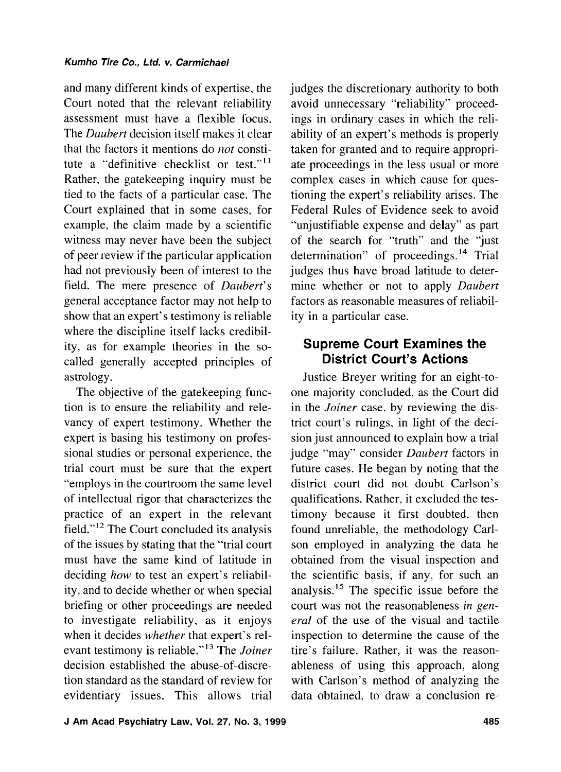and many different kinds of expertise, the Court noted that the relevant reliability assessment must have a flexible focus. The *Daubert* decision itself makes it clear that the factors it mentions do *not* constitute a "definitive checklist or test." $11$ Rather, the gatekeeping inquiry must be tied to the facts of a particular case. The Court explained that in some cases, for example, the claim made by a scientific witness may never have been the subject of peer review if the particular application had not previously been of interest to the field. The mere presence of *Daubert's*  general acceptance factor may not help to show that an expert's testimony is reliable where the discipline itself lacks credibility, as for example theories in the socalled generally accepted principles of astrology.

The objective of the gatekeeping function is to ensure the reliability and relevancy of expert testimony. Whether the expert is basing his testimony on professional studies or personal experience, the trial court must be sure that the expert "employs in the courtroom the same level of intellectual rigor that characterizes the practice of an expert in the relevant field."I2 The Court concluded its analysis of the issues by stating that the "trial court must have the same kind of latitude in deciding *how* to test an expert's reliability, and to decide whether or when special briefing or other proceedings are needed to investigate reliability, as it enjoys when it decides *whether* that expert's relevant testimony is reliable."13 The *Joiner*  decision established the abuse-of-discretion standard as the standard of review for evidentiary issues. This allows trial

judges the discretionary authority to both avoid unnecessary "reliability" proceedings in ordinary cases in which the reliability of an expert's methods is properly taken for granted and to require appropriate proceedings in the less usual or more complex cases in which cause for questioning the expert's reliability arises. The Federal Rules of Evidence seek to avoid "unjustifiable expense and delay" as part of the search for "truth" and the "just determination" of proceedings.<sup>14</sup> Trial judges thus have broad latitude to determine whether or not to apply *Daubert*  factors as reasonable measures of reliability in a particular case.

# **Supreme Court Examines the District Court's Actions**

Justice Breyer writing for an eight-toone majority concluded, as the Court did in the *Joiner* case, by reviewing the district court's rulings, in light of the decision just announced to explain how a trial judge "may" consider *Daubert* factors in future cases. He began by noting that the district court did not doubt Carlson's qualifications. Rather, it excluded the testimony because it first doubted. then found unreliable, the methodology Carlson employed in analyzing the data he obtained from the visual inspection and the scientific basis, if any, for such an analysis.<sup>15</sup> The specific issue before the court was not the reasonableness *in general* of the use of the visual and tactile inspection to determine the cause of the tire's failure. Rather, it was the reasonableness of using this approach, along with Carlson's method of analyzing the data obtained, to draw a conclusion re-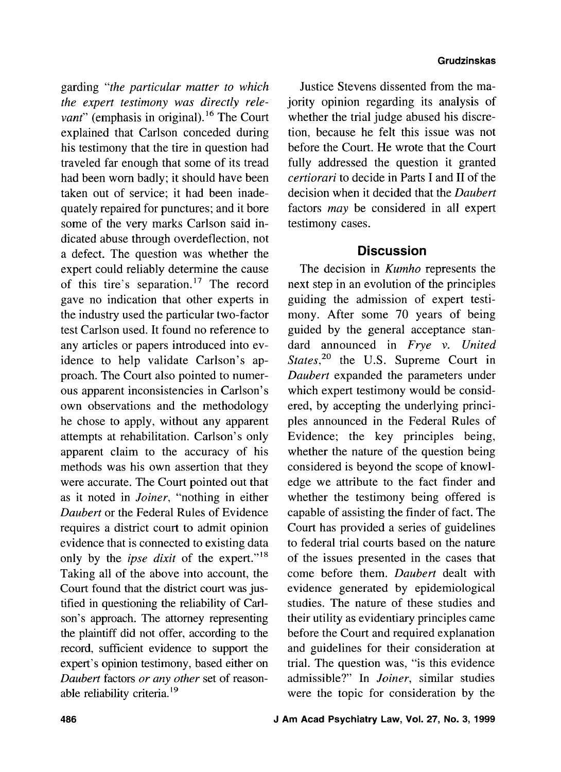garding *"the particular matter to which the expert testimony was directly relevant*" (emphasis in original).<sup>16</sup> The Court explained that Carlson conceded during his testimony that the tire in question had traveled far enough that some of its tread had been worn badly; it should have been taken out of service; it had been inadequately repaired for punctures; and it bore some of the very marks Carlson said indicated abuse through overdeflection, not a defect. The question was whether the expert could reliably determine the cause of this tire's separation.<sup>17</sup> The record gave no indication that other experts in the industry used the particular two-factor test Carlson used. It found no reference to any articles or papers introduced into evidence to help validate Carlson's approach. The Court also pointed to numerous apparent inconsistencies in Carlson's own observations and the methodology he chose to apply, without any apparent attempts at rehabilitation. Carlson's only apparent claim to the accuracy of his methods was his own assertion that they were accurate. The Court pointed out that as it noted in *Joiner,* "nothing in either *Daubert* or the Federal Rules of Evidence requires a district court to admit opinion evidence that is connected to existing data only by the *ipse dixit* of the expert."<sup>18</sup> Taking all of the above into account, the Court found that the district court was justified in questioning the reliability of Carlson's approach. The attorney representing the plaintiff did not offer, according to the record, sufficient evidence to support the expert's opinion testimony, based either on *Daubert* factors *or any other* set of reasonable reliability criteria.<sup>19</sup>

Justice Stevens dissented from the majority opinion regarding its analysis of whether the trial judge abused his discretion, because he felt this issue was not before the Court. He wrote that the Court fully addressed the question it granted *certiorari* to decide in Parts I and I1 of the decision when it decided that the *Daubert*  factors *may* be considered in all expert testimony cases.

## **Discussion**

The decision in *Kumho* represents the next step in an evolution of the principles guiding the admission of expert testimony. After some 70 years of being guided by the general acceptance standard announced in *Frye* **V.** *United States*<sup>20</sup> the U.S. Supreme Court in *Daubert* expanded the parameters under which expert testimony would be considered, by accepting the underlying principles announced in the Federal Rules of Evidence; the key principles being, whether the nature of the question being considered is beyond the scope of knowledge we attribute to the fact finder and whether the testimony being offered is capable of assisting the finder of fact. The Court has provided a series of guidelines to federal trial courts based on the nature of the issues presented in the cases that come before them. *Daubert* dealt with evidence generated by epidemiological studies. The nature of these studies and their utility as evidentiary principles came before the Court and required explanation and guidelines for their consideration at trial. The question was, "is this evidence admissible?" In *Joiner,* similar studies were the topic for consideration by the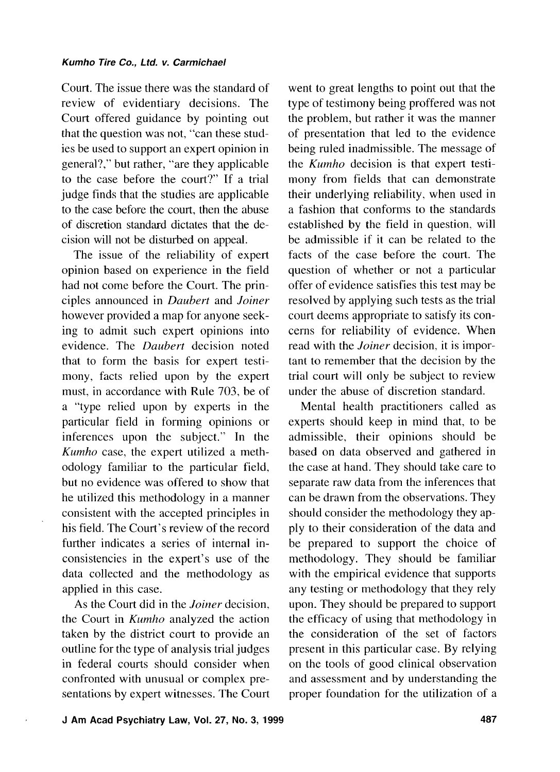Court. The issue there was the standard of review of evidentiary decisions. The Court offered guidance by pointing out that the question was not, "can these studies be used to support an expert opinion in general?," but rather, "are they applicable to the case before the court?" If a trial judge finds that the studies are applicable to the case before the court, then the abuse of discretion standard dictates that the decision will not be disturbed on appeal.

The issue of the reliability of expert opinion based on experience in the field had not come before the Court. The principles announced in *Daubert* and *Joiner*  however provided a map for anyone seeking to admit such expert opinions into evidence. The *Daubert* decision noted that to form the basis for expert testimony, facts relied upon by the expert must, in accordance with Rule 703, be of a "type relied upon by experts in the particular field in forming opinions or inferences upon the subject." In the *Kumho* case, the expert utilized a methodology familiar to the particular field, but no evidence was offered to show that he utilized this methodology in a manner consistent with the accepted principles in his field. The Court's review of the record further indicates a series of internal inconsistencies in the expert's use of the data collected and the methodology as applied in this case.

As the Court did in the *Joiner* decision, the Court in *Kumho* analyzed the action taken by the district court to provide an outline for the type of analysis trial judges in federal courts should consider when confronted with unusual or complex presentations by expert witnesses. The Court

went to great lengths to point out that the type of testimony being proffered was not the problem, but rather it was the manner of presentation that led to the evidence being ruled inadmissible. The message of the *Kumho* decision is that expert testimony from fields that can demonstrate their underlying reliability, when used in a fashion that conforms to the standards established by the field in question. will be admissible if it can be related to the facts of the case before the court. The question of whether or not a particular offer of evidence satisfies this test may be resolved by applying such tests as the trial court deems appropriate to satisfy its concerns for reliability of evidence. When read with the *Joiner* decision, it is important to remember that the decision by the trial court will only be subject to review under the abuse of discretion standard.

Mental health practitioners called as experts should keep in mind that, to be admissible, their opinions should be based on data observed and gathered in the case at hand. They should take care to separate raw data from the inferences that can be drawn from the observations. They should consider the methodology they apply to their consideration of the data and be prepared to support the choice of methodology. They should be familiar with the empirical evidence that supports any testing or methodology that they rely upon. They should be prepared to support the efficacy of using that methodology in the consideration of the set of factors present in this particular case. By relying on the tools of good clinical observation and assessment and by understanding the proper foundation for the utilization of a